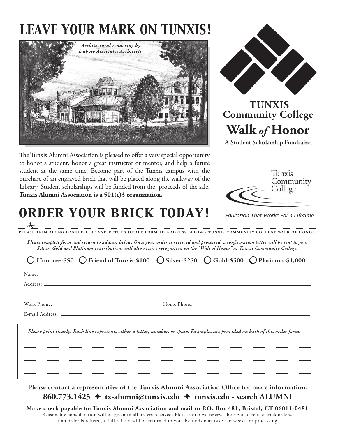## *LEAVE YOUR MARK ON TUNXIS!*





## **TUNXIS Community College Walk** *of* **Honor**

A Student Scholarship Fundraiser

The Tunxis Alumni Association is pleased to offer a very special opportunity to honor a student, honor a great instructor or mentor, and help a future student at the same time! Become part of the Tunxis campus with the purchase of an engraved brick that will be placed along the walkway of the Library. Student scholarships will be funded from the proceeds of the sale. **Tunxis Alumni Association is a 501(c)3 organization.**

*ORDER YOUR BRICK TODAY!*



**Education That Works For a Lifetime** 

 $\frac{1}{\sqrt{2}}$ **PLEASE TRIM ALONG DASHED LINE AND RETURN ORDER FORM TO ADDRESS BELOW • TUNXIS COMMUNIT Y COLLEGE WALK OF HONOR**

*Please complete form and return to address below. Once your order is received and processed, a conrmation letter will be sent to you. Silver, Gold and Platinum contributions will also receive recognition on the " Wall of Honor" at Tunxis Community College.* 

Name: Address: Work Phone: Home Phone: E-mail Address: *Please print clearly. Each line represents either a letter, number, or space. Examples are provided on back of this order form.* Honoree- $$50$  () Friend of Tunxis- $$100$  () Silver- $$250$  () Gold- $$500$  () Platinum- $$1,000$ 

Please contact a representative of the Tunxis Alumni Association Office for more information. **860.773.1425** ✦ **tx-alumni@tunxis.edu** ✦ **tunxis.edu - search ALUMNI**

**Make check payable to: Tunxis Alumni Association and mail to P.O. Box 481, Bristol, CT 06011-0481** Reasonable consideration will be given to all orders received. Please note: we reserve the right to refuse brick orders. If an order is refused, a full refund will be returned to you. Refunds may take 4-6 weeks for processing.